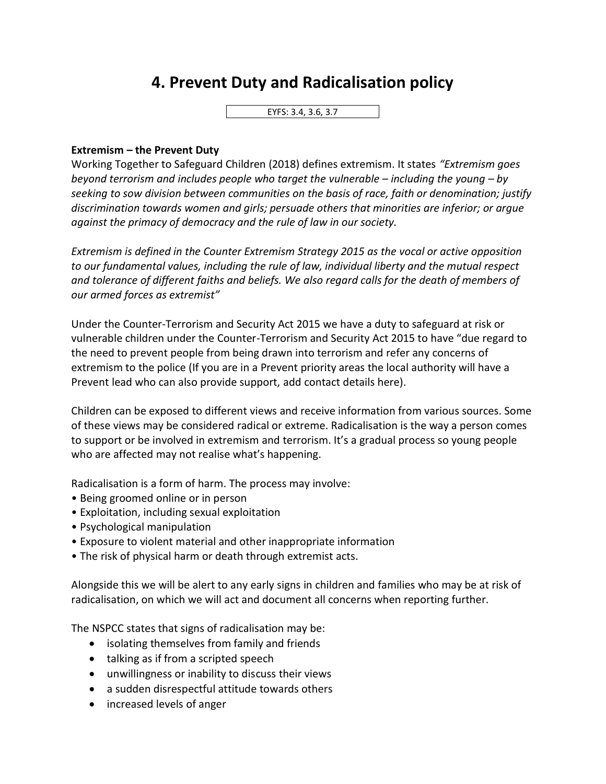## **4. Prevent Duty and Radicalisation policy**

EYFS: 3.4, 3.6, 3.7

## **Extremism – the Prevent Duty**

Working Together to Safeguard Children (2018) defines extremism. It states *"Extremism goes beyond terrorism and includes people who target the vulnerable – including the young – by seeking to sow division between communities on the basis of race, faith or denomination; justify discrimination towards women and girls; persuade others that minorities are inferior; or argue against the primacy of democracy and the rule of law in our society.*

*Extremism is defined in the Counter Extremism Strategy 2015 as the vocal or active opposition to our fundamental values, including the rule of law, individual liberty and the mutual respect and tolerance of different faiths and beliefs. We also regard calls for the death of members of our armed forces as extremist"*

Under the Counter-Terrorism and Security Act 2015 we have a duty to safeguard at risk or vulnerable children under the Counter-Terrorism and Security Act 2015 to have "due regard to the need to prevent people from being drawn into terrorism and refer any concerns of extremism to the police (If you are in a Prevent priority areas the local authority will have a Prevent lead who can also provide support, add contact details here).

Children can be exposed to different views and receive information from various sources. Some of these views may be considered radical or extreme. Radicalisation is the way a person comes to support or be involved in extremism and terrorism. It's a gradual process so young people who are affected may not realise what's happening.

Radicalisation is a form of harm. The process may involve:

- Being groomed online or in person
- Exploitation, including sexual exploitation
- Psychological manipulation
- Exposure to violent material and other inappropriate information
- The risk of physical harm or death through extremist acts.

Alongside this we will be alert to any early signs in children and families who may be at risk of radicalisation, on which we will act and document all concerns when reporting further.

The NSPCC states that signs of radicalisation may be:

- isolating themselves from family and friends
- talking as if from a scripted speech
- unwillingness or inability to discuss their views
- a sudden disrespectful attitude towards others
- increased levels of anger